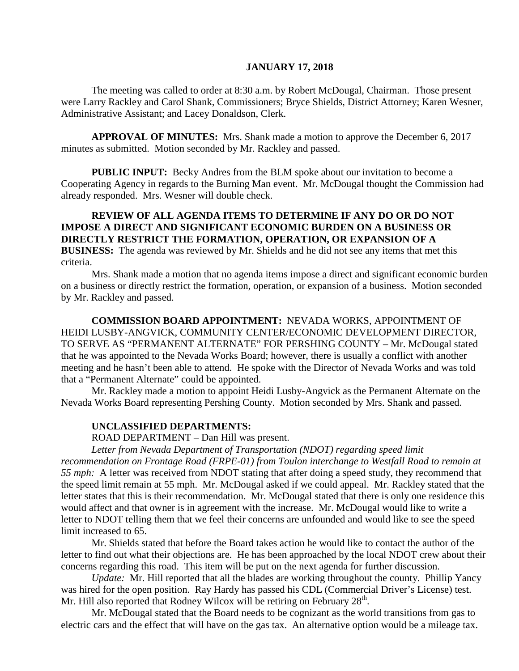#### **JANUARY 17, 2018**

The meeting was called to order at 8:30 a.m. by Robert McDougal, Chairman. Those present were Larry Rackley and Carol Shank, Commissioners; Bryce Shields, District Attorney; Karen Wesner, Administrative Assistant; and Lacey Donaldson, Clerk.

**APPROVAL OF MINUTES:** Mrs. Shank made a motion to approve the December 6, 2017 minutes as submitted. Motion seconded by Mr. Rackley and passed.

**PUBLIC INPUT:** Becky Andres from the BLM spoke about our invitation to become a Cooperating Agency in regards to the Burning Man event. Mr. McDougal thought the Commission had already responded. Mrs. Wesner will double check.

### **REVIEW OF ALL AGENDA ITEMS TO DETERMINE IF ANY DO OR DO NOT IMPOSE A DIRECT AND SIGNIFICANT ECONOMIC BURDEN ON A BUSINESS OR DIRECTLY RESTRICT THE FORMATION, OPERATION, OR EXPANSION OF A BUSINESS:** The agenda was reviewed by Mr. Shields and he did not see any items that met this criteria.

Mrs. Shank made a motion that no agenda items impose a direct and significant economic burden on a business or directly restrict the formation, operation, or expansion of a business. Motion seconded by Mr. Rackley and passed.

**COMMISSION BOARD APPOINTMENT:** NEVADA WORKS, APPOINTMENT OF HEIDI LUSBY-ANGVICK, COMMUNITY CENTER/ECONOMIC DEVELOPMENT DIRECTOR, TO SERVE AS "PERMANENT ALTERNATE" FOR PERSHING COUNTY – Mr. McDougal stated that he was appointed to the Nevada Works Board; however, there is usually a conflict with another meeting and he hasn't been able to attend. He spoke with the Director of Nevada Works and was told that a "Permanent Alternate" could be appointed.

Mr. Rackley made a motion to appoint Heidi Lusby-Angvick as the Permanent Alternate on the Nevada Works Board representing Pershing County. Motion seconded by Mrs. Shank and passed.

#### **UNCLASSIFIED DEPARTMENTS:**

ROAD DEPARTMENT – Dan Hill was present.

*Letter from Nevada Department of Transportation (NDOT) regarding speed limit recommendation on Frontage Road (FRPE-01) from Toulon interchange to Westfall Road to remain at 55 mph:* A letter was received from NDOT stating that after doing a speed study, they recommend that the speed limit remain at 55 mph. Mr. McDougal asked if we could appeal. Mr. Rackley stated that the letter states that this is their recommendation. Mr. McDougal stated that there is only one residence this would affect and that owner is in agreement with the increase. Mr. McDougal would like to write a letter to NDOT telling them that we feel their concerns are unfounded and would like to see the speed limit increased to 65.

Mr. Shields stated that before the Board takes action he would like to contact the author of the letter to find out what their objections are. He has been approached by the local NDOT crew about their concerns regarding this road. This item will be put on the next agenda for further discussion.

*Update:* Mr. Hill reported that all the blades are working throughout the county. Phillip Yancy was hired for the open position. Ray Hardy has passed his CDL (Commercial Driver's License) test. Mr. Hill also reported that Rodney Wilcox will be retiring on February 28<sup>th</sup>.

Mr. McDougal stated that the Board needs to be cognizant as the world transitions from gas to electric cars and the effect that will have on the gas tax. An alternative option would be a mileage tax.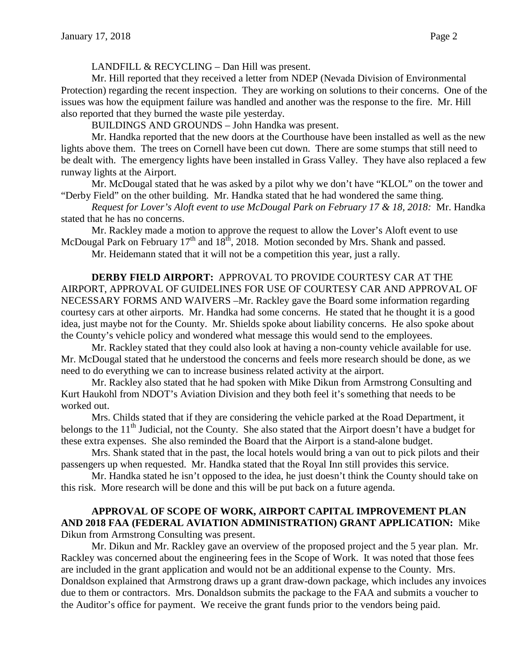LANDFILL & RECYCLING – Dan Hill was present.

Mr. Hill reported that they received a letter from NDEP (Nevada Division of Environmental Protection) regarding the recent inspection. They are working on solutions to their concerns. One of the issues was how the equipment failure was handled and another was the response to the fire. Mr. Hill also reported that they burned the waste pile yesterday.

BUILDINGS AND GROUNDS – John Handka was present.

Mr. Handka reported that the new doors at the Courthouse have been installed as well as the new lights above them. The trees on Cornell have been cut down. There are some stumps that still need to be dealt with. The emergency lights have been installed in Grass Valley. They have also replaced a few runway lights at the Airport.

Mr. McDougal stated that he was asked by a pilot why we don't have "KLOL" on the tower and "Derby Field" on the other building. Mr. Handka stated that he had wondered the same thing.

*Request for Lover's Aloft event to use McDougal Park on February 17 & 18, 2018:* Mr. Handka stated that he has no concerns.

Mr. Rackley made a motion to approve the request to allow the Lover's Aloft event to use McDougal Park on February  $17<sup>th</sup>$  and  $18<sup>th</sup>$ , 2018. Motion seconded by Mrs. Shank and passed.

Mr. Heidemann stated that it will not be a competition this year, just a rally.

**DERBY FIELD AIRPORT:** APPROVAL TO PROVIDE COURTESY CAR AT THE AIRPORT, APPROVAL OF GUIDELINES FOR USE OF COURTESY CAR AND APPROVAL OF NECESSARY FORMS AND WAIVERS –Mr. Rackley gave the Board some information regarding courtesy cars at other airports. Mr. Handka had some concerns. He stated that he thought it is a good idea, just maybe not for the County. Mr. Shields spoke about liability concerns. He also spoke about the County's vehicle policy and wondered what message this would send to the employees.

Mr. Rackley stated that they could also look at having a non-county vehicle available for use. Mr. McDougal stated that he understood the concerns and feels more research should be done, as we need to do everything we can to increase business related activity at the airport.

Mr. Rackley also stated that he had spoken with Mike Dikun from Armstrong Consulting and Kurt Haukohl from NDOT's Aviation Division and they both feel it's something that needs to be worked out.

Mrs. Childs stated that if they are considering the vehicle parked at the Road Department, it belongs to the 11<sup>th</sup> Judicial, not the County. She also stated that the Airport doesn't have a budget for these extra expenses. She also reminded the Board that the Airport is a stand-alone budget.

Mrs. Shank stated that in the past, the local hotels would bring a van out to pick pilots and their passengers up when requested. Mr. Handka stated that the Royal Inn still provides this service.

Mr. Handka stated he isn't opposed to the idea, he just doesn't think the County should take on this risk. More research will be done and this will be put back on a future agenda.

#### **APPROVAL OF SCOPE OF WORK, AIRPORT CAPITAL IMPROVEMENT PLAN AND 2018 FAA (FEDERAL AVIATION ADMINISTRATION) GRANT APPLICATION:** Mike Dikun from Armstrong Consulting was present.

Mr. Dikun and Mr. Rackley gave an overview of the proposed project and the 5 year plan. Mr. Rackley was concerned about the engineering fees in the Scope of Work. It was noted that those fees are included in the grant application and would not be an additional expense to the County. Mrs. Donaldson explained that Armstrong draws up a grant draw-down package, which includes any invoices due to them or contractors. Mrs. Donaldson submits the package to the FAA and submits a voucher to the Auditor's office for payment. We receive the grant funds prior to the vendors being paid.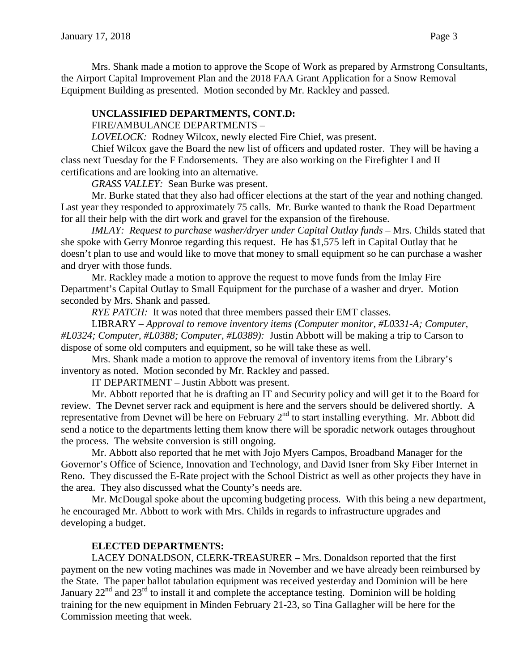Mrs. Shank made a motion to approve the Scope of Work as prepared by Armstrong Consultants, the Airport Capital Improvement Plan and the 2018 FAA Grant Application for a Snow Removal Equipment Building as presented. Motion seconded by Mr. Rackley and passed.

### **UNCLASSIFIED DEPARTMENTS, CONT.D:**

FIRE/AMBULANCE DEPARTMENTS –

*LOVELOCK:* Rodney Wilcox, newly elected Fire Chief, was present.

Chief Wilcox gave the Board the new list of officers and updated roster. They will be having a class next Tuesday for the F Endorsements. They are also working on the Firefighter I and II certifications and are looking into an alternative.

*GRASS VALLEY:* Sean Burke was present.

Mr. Burke stated that they also had officer elections at the start of the year and nothing changed. Last year they responded to approximately 75 calls. Mr. Burke wanted to thank the Road Department for all their help with the dirt work and gravel for the expansion of the firehouse.

*IMLAY: Request to purchase washer/dryer under Capital Outlay funds –* Mrs. Childs stated that she spoke with Gerry Monroe regarding this request. He has \$1,575 left in Capital Outlay that he doesn't plan to use and would like to move that money to small equipment so he can purchase a washer and dryer with those funds.

Mr. Rackley made a motion to approve the request to move funds from the Imlay Fire Department's Capital Outlay to Small Equipment for the purchase of a washer and dryer. Motion seconded by Mrs. Shank and passed.

*RYE PATCH:* It was noted that three members passed their EMT classes.

LIBRARY – *Approval to remove inventory items (Computer monitor, #L0331-A; Computer, #L0324; Computer, #L0388; Computer, #L0389):* Justin Abbott will be making a trip to Carson to dispose of some old computers and equipment, so he will take these as well.

Mrs. Shank made a motion to approve the removal of inventory items from the Library's inventory as noted. Motion seconded by Mr. Rackley and passed.

IT DEPARTMENT – Justin Abbott was present.

Mr. Abbott reported that he is drafting an IT and Security policy and will get it to the Board for review. The Devnet server rack and equipment is here and the servers should be delivered shortly. A representative from Devnet will be here on February  $2<sup>nd</sup>$  to start installing everything. Mr. Abbott did send a notice to the departments letting them know there will be sporadic network outages throughout the process. The website conversion is still ongoing.

Mr. Abbott also reported that he met with Jojo Myers Campos, Broadband Manager for the Governor's Office of Science, Innovation and Technology, and David Isner from Sky Fiber Internet in Reno. They discussed the E-Rate project with the School District as well as other projects they have in the area. They also discussed what the County's needs are.

Mr. McDougal spoke about the upcoming budgeting process. With this being a new department, he encouraged Mr. Abbott to work with Mrs. Childs in regards to infrastructure upgrades and developing a budget.

## **ELECTED DEPARTMENTS:**

LACEY DONALDSON, CLERK-TREASURER – Mrs. Donaldson reported that the first payment on the new voting machines was made in November and we have already been reimbursed by the State. The paper ballot tabulation equipment was received yesterday and Dominion will be here January  $22<sup>nd</sup>$  and  $23<sup>rd</sup>$  to install it and complete the acceptance testing. Dominion will be holding training for the new equipment in Minden February 21-23, so Tina Gallagher will be here for the Commission meeting that week.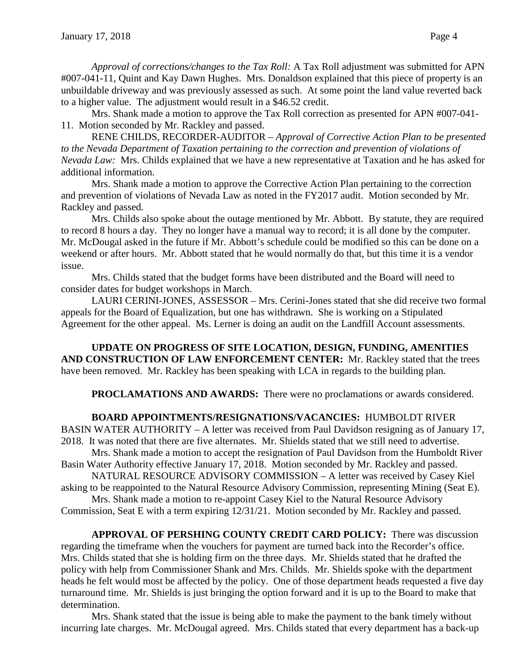*Approval of corrections/changes to the Tax Roll:* A Tax Roll adjustment was submitted for APN #007-041-11, Quint and Kay Dawn Hughes. Mrs. Donaldson explained that this piece of property is an unbuildable driveway and was previously assessed as such. At some point the land value reverted back to a higher value. The adjustment would result in a \$46.52 credit.

Mrs. Shank made a motion to approve the Tax Roll correction as presented for APN #007-041- 11. Motion seconded by Mr. Rackley and passed.

RENE CHILDS, RECORDER-AUDITOR – *Approval of Corrective Action Plan to be presented to the Nevada Department of Taxation pertaining to the correction and prevention of violations of Nevada Law:* Mrs. Childs explained that we have a new representative at Taxation and he has asked for additional information.

Mrs. Shank made a motion to approve the Corrective Action Plan pertaining to the correction and prevention of violations of Nevada Law as noted in the FY2017 audit. Motion seconded by Mr. Rackley and passed.

Mrs. Childs also spoke about the outage mentioned by Mr. Abbott. By statute, they are required to record 8 hours a day. They no longer have a manual way to record; it is all done by the computer. Mr. McDougal asked in the future if Mr. Abbott's schedule could be modified so this can be done on a weekend or after hours. Mr. Abbott stated that he would normally do that, but this time it is a vendor issue.

Mrs. Childs stated that the budget forms have been distributed and the Board will need to consider dates for budget workshops in March.

LAURI CERINI-JONES, ASSESSOR – Mrs. Cerini-Jones stated that she did receive two formal appeals for the Board of Equalization, but one has withdrawn. She is working on a Stipulated Agreement for the other appeal. Ms. Lerner is doing an audit on the Landfill Account assessments.

**UPDATE ON PROGRESS OF SITE LOCATION, DESIGN, FUNDING, AMENITIES AND CONSTRUCTION OF LAW ENFORCEMENT CENTER:** Mr. Rackley stated that the trees have been removed. Mr. Rackley has been speaking with LCA in regards to the building plan.

**PROCLAMATIONS AND AWARDS:** There were no proclamations or awards considered.

**BOARD APPOINTMENTS/RESIGNATIONS/VACANCIES:** HUMBOLDT RIVER

BASIN WATER AUTHORITY – A letter was received from Paul Davidson resigning as of January 17, 2018. It was noted that there are five alternates. Mr. Shields stated that we still need to advertise.

Mrs. Shank made a motion to accept the resignation of Paul Davidson from the Humboldt River Basin Water Authority effective January 17, 2018. Motion seconded by Mr. Rackley and passed.

NATURAL RESOURCE ADVISORY COMMISSION – A letter was received by Casey Kiel asking to be reappointed to the Natural Resource Advisory Commission, representing Mining (Seat E).

Mrs. Shank made a motion to re-appoint Casey Kiel to the Natural Resource Advisory Commission, Seat E with a term expiring 12/31/21. Motion seconded by Mr. Rackley and passed.

**APPROVAL OF PERSHING COUNTY CREDIT CARD POLICY:** There was discussion regarding the timeframe when the vouchers for payment are turned back into the Recorder's office. Mrs. Childs stated that she is holding firm on the three days. Mr. Shields stated that he drafted the policy with help from Commissioner Shank and Mrs. Childs. Mr. Shields spoke with the department heads he felt would most be affected by the policy. One of those department heads requested a five day turnaround time. Mr. Shields is just bringing the option forward and it is up to the Board to make that determination.

Mrs. Shank stated that the issue is being able to make the payment to the bank timely without incurring late charges. Mr. McDougal agreed. Mrs. Childs stated that every department has a back-up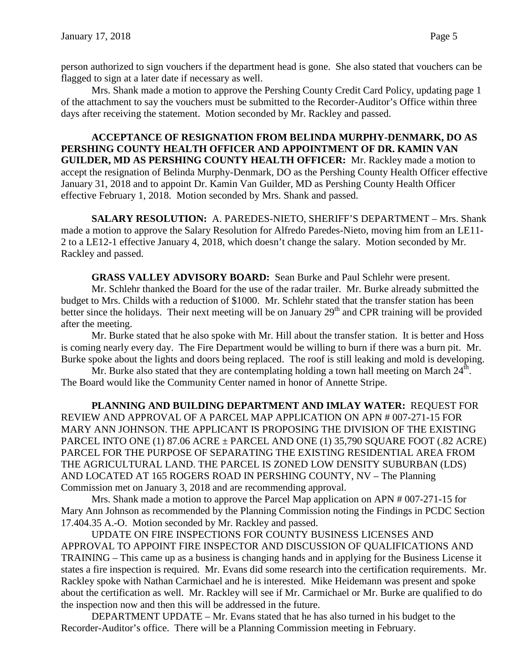person authorized to sign vouchers if the department head is gone. She also stated that vouchers can be flagged to sign at a later date if necessary as well.

Mrs. Shank made a motion to approve the Pershing County Credit Card Policy, updating page 1 of the attachment to say the vouchers must be submitted to the Recorder-Auditor's Office within three days after receiving the statement. Motion seconded by Mr. Rackley and passed.

**ACCEPTANCE OF RESIGNATION FROM BELINDA MURPHY-DENMARK, DO AS PERSHING COUNTY HEALTH OFFICER AND APPOINTMENT OF DR. KAMIN VAN GUILDER, MD AS PERSHING COUNTY HEALTH OFFICER:** Mr. Rackley made a motion to accept the resignation of Belinda Murphy-Denmark, DO as the Pershing County Health Officer effective January 31, 2018 and to appoint Dr. Kamin Van Guilder, MD as Pershing County Health Officer effective February 1, 2018. Motion seconded by Mrs. Shank and passed.

**SALARY RESOLUTION:** A. PAREDES-NIETO, SHERIFF'S DEPARTMENT – Mrs. Shank made a motion to approve the Salary Resolution for Alfredo Paredes-Nieto, moving him from an LE11- 2 to a LE12-1 effective January 4, 2018, which doesn't change the salary. Motion seconded by Mr. Rackley and passed.

**GRASS VALLEY ADVISORY BOARD:** Sean Burke and Paul Schlehr were present.

Mr. Schlehr thanked the Board for the use of the radar trailer. Mr. Burke already submitted the budget to Mrs. Childs with a reduction of \$1000. Mr. Schlehr stated that the transfer station has been better since the holidays. Their next meeting will be on January  $29<sup>th</sup>$  and CPR training will be provided after the meeting.

Mr. Burke stated that he also spoke with Mr. Hill about the transfer station. It is better and Hoss is coming nearly every day. The Fire Department would be willing to burn if there was a burn pit. Mr. Burke spoke about the lights and doors being replaced. The roof is still leaking and mold is developing.

Mr. Burke also stated that they are contemplating holding a town hall meeting on March  $24<sup>th</sup>$ . The Board would like the Community Center named in honor of Annette Stripe.

**PLANNING AND BUILDING DEPARTMENT AND IMLAY WATER:** REQUEST FOR REVIEW AND APPROVAL OF A PARCEL MAP APPLICATION ON APN # 007-271-15 FOR MARY ANN JOHNSON. THE APPLICANT IS PROPOSING THE DIVISION OF THE EXISTING PARCEL INTO ONE (1) 87.06 ACRE ± PARCEL AND ONE (1) 35,790 SQUARE FOOT (.82 ACRE) PARCEL FOR THE PURPOSE OF SEPARATING THE EXISTING RESIDENTIAL AREA FROM THE AGRICULTURAL LAND. THE PARCEL IS ZONED LOW DENSITY SUBURBAN (LDS) AND LOCATED AT 165 ROGERS ROAD IN PERSHING COUNTY, NV – The Planning Commission met on January 3, 2018 and are recommending approval.

Mrs. Shank made a motion to approve the Parcel Map application on APN # 007-271-15 for Mary Ann Johnson as recommended by the Planning Commission noting the Findings in PCDC Section 17.404.35 A.-O. Motion seconded by Mr. Rackley and passed.

UPDATE ON FIRE INSPECTIONS FOR COUNTY BUSINESS LICENSES AND APPROVAL TO APPOINT FIRE INSPECTOR AND DISCUSSION OF QUALIFICATIONS AND TRAINING – This came up as a business is changing hands and in applying for the Business License it states a fire inspection is required. Mr. Evans did some research into the certification requirements. Mr. Rackley spoke with Nathan Carmichael and he is interested. Mike Heidemann was present and spoke about the certification as well. Mr. Rackley will see if Mr. Carmichael or Mr. Burke are qualified to do the inspection now and then this will be addressed in the future.

DEPARTMENT UPDATE – Mr. Evans stated that he has also turned in his budget to the Recorder-Auditor's office. There will be a Planning Commission meeting in February.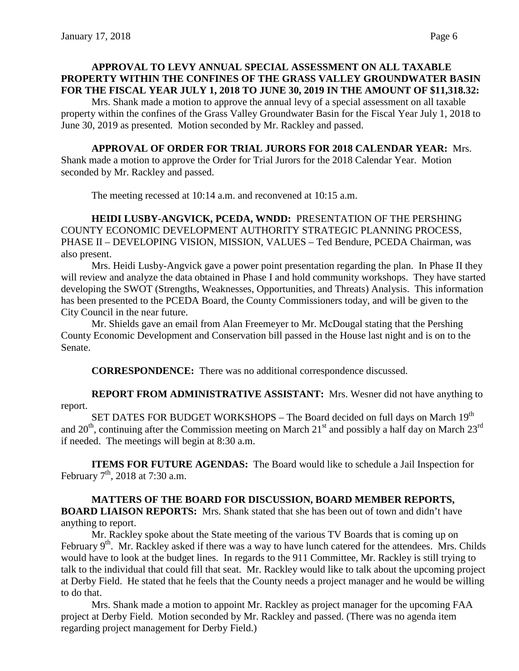# **APPROVAL TO LEVY ANNUAL SPECIAL ASSESSMENT ON ALL TAXABLE PROPERTY WITHIN THE CONFINES OF THE GRASS VALLEY GROUNDWATER BASIN FOR THE FISCAL YEAR JULY 1, 2018 TO JUNE 30, 2019 IN THE AMOUNT OF \$11,318.32:**

Mrs. Shank made a motion to approve the annual levy of a special assessment on all taxable property within the confines of the Grass Valley Groundwater Basin for the Fiscal Year July 1, 2018 to June 30, 2019 as presented. Motion seconded by Mr. Rackley and passed.

# **APPROVAL OF ORDER FOR TRIAL JURORS FOR 2018 CALENDAR YEAR:** Mrs.

Shank made a motion to approve the Order for Trial Jurors for the 2018 Calendar Year. Motion seconded by Mr. Rackley and passed.

The meeting recessed at 10:14 a.m. and reconvened at 10:15 a.m.

**HEIDI LUSBY-ANGVICK, PCEDA, WNDD:** PRESENTATION OF THE PERSHING COUNTY ECONOMIC DEVELOPMENT AUTHORITY STRATEGIC PLANNING PROCESS, PHASE II – DEVELOPING VISION, MISSION, VALUES – Ted Bendure, PCEDA Chairman, was also present.

Mrs. Heidi Lusby-Angvick gave a power point presentation regarding the plan. In Phase II they will review and analyze the data obtained in Phase I and hold community workshops. They have started developing the SWOT (Strengths, Weaknesses, Opportunities, and Threats) Analysis. This information has been presented to the PCEDA Board, the County Commissioners today, and will be given to the City Council in the near future.

Mr. Shields gave an email from Alan Freemeyer to Mr. McDougal stating that the Pershing County Economic Development and Conservation bill passed in the House last night and is on to the Senate.

**CORRESPONDENCE:** There was no additional correspondence discussed.

**REPORT FROM ADMINISTRATIVE ASSISTANT:** Mrs. Wesner did not have anything to report.

SET DATES FOR BUDGET WORKSHOPS – The Board decided on full days on March 19<sup>th</sup> and  $20<sup>th</sup>$ , continuing after the Commission meeting on March  $21<sup>st</sup>$  and possibly a half day on March  $23<sup>rd</sup>$ if needed. The meetings will begin at 8:30 a.m.

**ITEMS FOR FUTURE AGENDAS:** The Board would like to schedule a Jail Inspection for February  $7<sup>th</sup>$ , 2018 at 7:30 a.m.

**MATTERS OF THE BOARD FOR DISCUSSION, BOARD MEMBER REPORTS, BOARD LIAISON REPORTS:** Mrs. Shank stated that she has been out of town and didn't have anything to report.

Mr. Rackley spoke about the State meeting of the various TV Boards that is coming up on February 9<sup>th</sup>. Mr. Rackley asked if there was a way to have lunch catered for the attendees. Mrs. Childs would have to look at the budget lines. In regards to the 911 Committee, Mr. Rackley is still trying to talk to the individual that could fill that seat. Mr. Rackley would like to talk about the upcoming project at Derby Field. He stated that he feels that the County needs a project manager and he would be willing to do that.

Mrs. Shank made a motion to appoint Mr. Rackley as project manager for the upcoming FAA project at Derby Field. Motion seconded by Mr. Rackley and passed. (There was no agenda item regarding project management for Derby Field.)